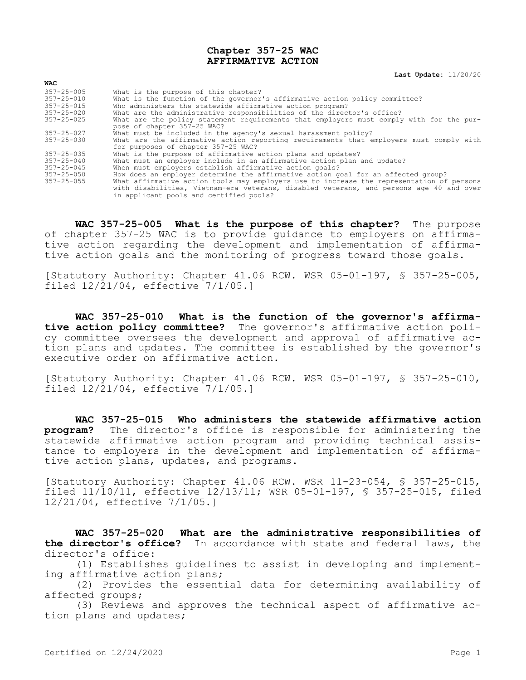## **Chapter 357-25 WAC AFFIRMATIVE ACTION**

**Last Update:** 11/20/20

| <b>WAC</b>       |                                                                                                                        |
|------------------|------------------------------------------------------------------------------------------------------------------------|
| $357 - 25 - 005$ | What is the purpose of this chapter?                                                                                   |
| $357 - 25 - 010$ | What is the function of the governor's affirmative action policy committee?                                            |
| 357-25-015       | Who administers the statewide affirmative action program?                                                              |
| $357 - 25 - 020$ | What are the administrative responsibilities of the director's office?                                                 |
| $357 - 25 - 025$ | What are the policy statement requirements that employers must comply with for the pur-<br>pose of chapter 357-25 WAC? |
| 357-25-027       | What must be included in the agency's sexual harassment policy?                                                        |
| $357 - 25 - 030$ | What are the affirmative action reporting requirements that employers must comply with                                 |
|                  | for purposes of chapter 357-25 WAC?                                                                                    |
| 357-25-035       | What is the purpose of affirmative action plans and updates?                                                           |
| 357-25-040       | What must an employer include in an affirmative action plan and update?                                                |
| $357 - 25 - 045$ | When must employers establish affirmative action goals?                                                                |
| $357 - 25 - 050$ | How does an employer determine the affirmative action goal for an affected group?                                      |
| $357 - 25 - 055$ | What affirmative action tools may employers use to increase the representation of persons                              |
|                  | with disabilities, Vietnam-era veterans, disabled veterans, and persons age 40 and over                                |
|                  | in applicant pools and certified pools?                                                                                |

**WAC 357-25-005 What is the purpose of this chapter?** The purpose of chapter 357-25 WAC is to provide guidance to employers on affirmative action regarding the development and implementation of affirmative action goals and the monitoring of progress toward those goals.

[Statutory Authority: Chapter 41.06 RCW. WSR 05-01-197, § 357-25-005, filed 12/21/04, effective 7/1/05.]

**WAC 357-25-010 What is the function of the governor's affirmative action policy committee?** The governor's affirmative action policy committee oversees the development and approval of affirmative action plans and updates. The committee is established by the governor's executive order on affirmative action.

[Statutory Authority: Chapter 41.06 RCW. WSR 05-01-197, § 357-25-010, filed 12/21/04, effective 7/1/05.]

**WAC 357-25-015 Who administers the statewide affirmative action program?** The director's office is responsible for administering the statewide affirmative action program and providing technical assistance to employers in the development and implementation of affirmative action plans, updates, and programs.

[Statutory Authority: Chapter 41.06 RCW. WSR 11-23-054, § 357-25-015, filed 11/10/11, effective 12/13/11; WSR 05-01-197, § 357-25-015, filed 12/21/04, effective 7/1/05.]

**WAC 357-25-020 What are the administrative responsibilities of the director's office?** In accordance with state and federal laws, the director's office:

(1) Establishes guidelines to assist in developing and implementing affirmative action plans;

(2) Provides the essential data for determining availability of affected groups;

(3) Reviews and approves the technical aspect of affirmative action plans and updates;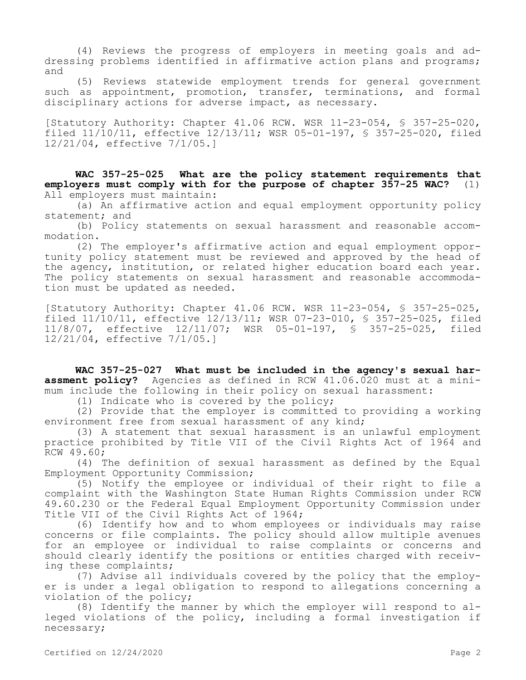(4) Reviews the progress of employers in meeting goals and addressing problems identified in affirmative action plans and programs; and

(5) Reviews statewide employment trends for general government such as appointment, promotion, transfer, terminations, and formal disciplinary actions for adverse impact, as necessary.

[Statutory Authority: Chapter 41.06 RCW. WSR 11-23-054, § 357-25-020, filed 11/10/11, effective 12/13/11; WSR 05-01-197, § 357-25-020, filed 12/21/04, effective 7/1/05.]

**WAC 357-25-025 What are the policy statement requirements that employers must comply with for the purpose of chapter 357-25 WAC?** (1) All employers must maintain:

(a) An affirmative action and equal employment opportunity policy statement; and

(b) Policy statements on sexual harassment and reasonable accommodation.

(2) The employer's affirmative action and equal employment opportunity policy statement must be reviewed and approved by the head of the agency, institution, or related higher education board each year. The policy statements on sexual harassment and reasonable accommodation must be updated as needed.

[Statutory Authority: Chapter 41.06 RCW. WSR 11-23-054, § 357-25-025, filed 11/10/11, effective 12/13/11; WSR 07-23-010, § 357-25-025, filed 11/8/07, effective 12/11/07; WSR 05-01-197, § 357-25-025, filed 12/21/04, effective 7/1/05.]

**WAC 357-25-027 What must be included in the agency's sexual harassment policy?** Agencies as defined in RCW 41.06.020 must at a minimum include the following in their policy on sexual harassment:

(1) Indicate who is covered by the policy;

(2) Provide that the employer is committed to providing a working environment free from sexual harassment of any kind;

(3) A statement that sexual harassment is an unlawful employment practice prohibited by Title VII of the Civil Rights Act of 1964 and RCW 49.60;

(4) The definition of sexual harassment as defined by the Equal Employment Opportunity Commission;

(5) Notify the employee or individual of their right to file a complaint with the Washington State Human Rights Commission under RCW 49.60.230 or the Federal Equal Employment Opportunity Commission under Title VII of the Civil Rights Act of 1964;

(6) Identify how and to whom employees or individuals may raise concerns or file complaints. The policy should allow multiple avenues for an employee or individual to raise complaints or concerns and should clearly identify the positions or entities charged with receiving these complaints;

(7) Advise all individuals covered by the policy that the employer is under a legal obligation to respond to allegations concerning a violation of the policy;

(8) Identify the manner by which the employer will respond to alleged violations of the policy, including a formal investigation if necessary;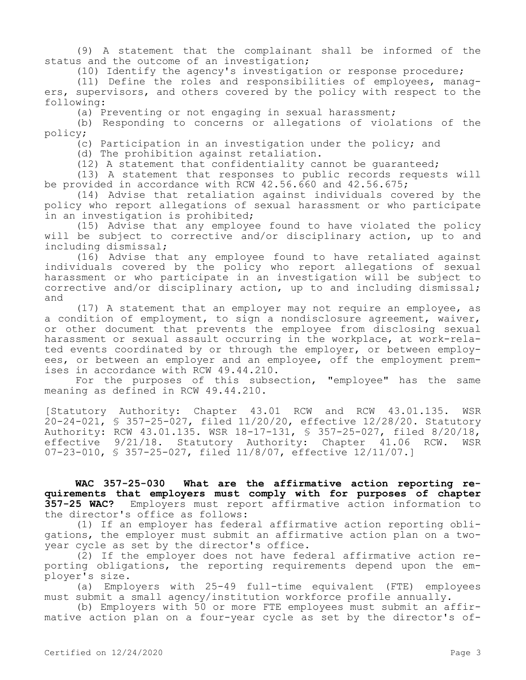(9) A statement that the complainant shall be informed of the status and the outcome of an investigation;

(10) Identify the agency's investigation or response procedure;

(11) Define the roles and responsibilities of employees, managers, supervisors, and others covered by the policy with respect to the following:

(a) Preventing or not engaging in sexual harassment;

(b) Responding to concerns or allegations of violations of the policy;

(c) Participation in an investigation under the policy; and

(d) The prohibition against retaliation.

(12) A statement that confidentiality cannot be guaranteed;

(13) A statement that responses to public records requests will be provided in accordance with RCW 42.56.660 and 42.56.675;

(14) Advise that retaliation against individuals covered by the policy who report allegations of sexual harassment or who participate in an investigation is prohibited;

(15) Advise that any employee found to have violated the policy will be subject to corrective and/or disciplinary action, up to and including dismissal;

(16) Advise that any employee found to have retaliated against individuals covered by the policy who report allegations of sexual harassment or who participate in an investigation will be subject to corrective and/or disciplinary action, up to and including dismissal; and

(17) A statement that an employer may not require an employee, as a condition of employment, to sign a nondisclosure agreement, waiver, or other document that prevents the employee from disclosing sexual harassment or sexual assault occurring in the workplace, at work-related events coordinated by or through the employer, or between employees, or between an employer and an employee, off the employment premises in accordance with RCW 49.44.210.

For the purposes of this subsection, "employee" has the same meaning as defined in RCW 49.44.210.

[Statutory Authority: Chapter 43.01 RCW and RCW 43.01.135. WSR 20-24-021, § 357-25-027, filed 11/20/20, effective 12/28/20. Statutory Authority: RCW 43.01.135. WSR 18-17-131, § 357-25-027, filed 8/20/18, effective 9/21/18. Statutory Authority: Chapter 41.06 RCW. WSR 07-23-010, § 357-25-027, filed 11/8/07, effective 12/11/07.]

**WAC 357-25-030 What are the affirmative action reporting requirements that employers must comply with for purposes of chapter 357-25 WAC?** Employers must report affirmative action information to the director's office as follows:

(1) If an employer has federal affirmative action reporting obligations, the employer must submit an affirmative action plan on a twoyear cycle as set by the director's office.

(2) If the employer does not have federal affirmative action reporting obligations, the reporting requirements depend upon the employer's size.

(a) Employers with 25-49 full-time equivalent (FTE) employees must submit a small agency/institution workforce profile annually.

(b) Employers with 50 or more FTE employees must submit an affirmative action plan on a four-year cycle as set by the director's of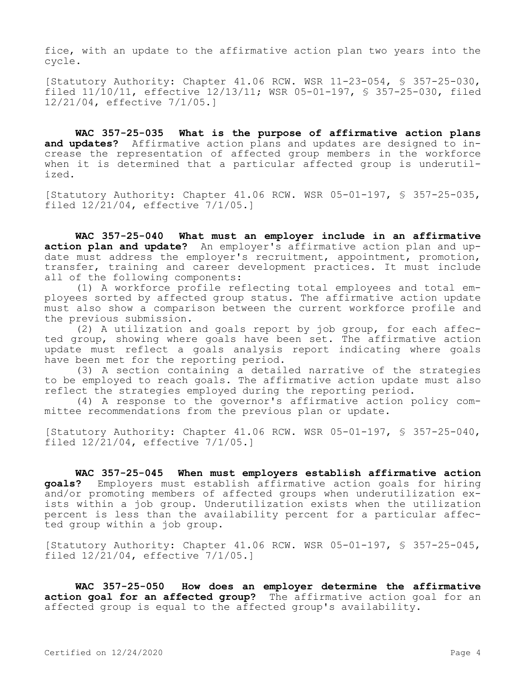fice, with an update to the affirmative action plan two years into the cycle.

[Statutory Authority: Chapter 41.06 RCW. WSR 11-23-054, § 357-25-030, filed 11/10/11, effective 12/13/11; WSR 05-01-197, § 357-25-030, filed 12/21/04, effective 7/1/05.]

**WAC 357-25-035 What is the purpose of affirmative action plans and updates?** Affirmative action plans and updates are designed to increase the representation of affected group members in the workforce when it is determined that a particular affected group is underutilized.

[Statutory Authority: Chapter 41.06 RCW. WSR 05-01-197, § 357-25-035, filed 12/21/04, effective 7/1/05.]

**WAC 357-25-040 What must an employer include in an affirmative action plan and update?** An employer's affirmative action plan and update must address the employer's recruitment, appointment, promotion, transfer, training and career development practices. It must include all of the following components:

(1) A workforce profile reflecting total employees and total employees sorted by affected group status. The affirmative action update must also show a comparison between the current workforce profile and the previous submission.

(2) A utilization and goals report by job group, for each affected group, showing where goals have been set. The affirmative action update must reflect a goals analysis report indicating where goals have been met for the reporting period.

(3) A section containing a detailed narrative of the strategies to be employed to reach goals. The affirmative action update must also reflect the strategies employed during the reporting period.

(4) A response to the governor's affirmative action policy committee recommendations from the previous plan or update.

[Statutory Authority: Chapter 41.06 RCW. WSR 05-01-197, § 357-25-040, filed 12/21/04, effective 7/1/05.]

**WAC 357-25-045 When must employers establish affirmative action goals?** Employers must establish affirmative action goals for hiring and/or promoting members of affected groups when underutilization exists within a job group. Underutilization exists when the utilization percent is less than the availability percent for a particular affected group within a job group.

[Statutory Authority: Chapter 41.06 RCW. WSR 05-01-197, § 357-25-045, filed 12/21/04, effective 7/1/05.]

**WAC 357-25-050 How does an employer determine the affirmative action goal for an affected group?** The affirmative action goal for an affected group is equal to the affected group's availability.